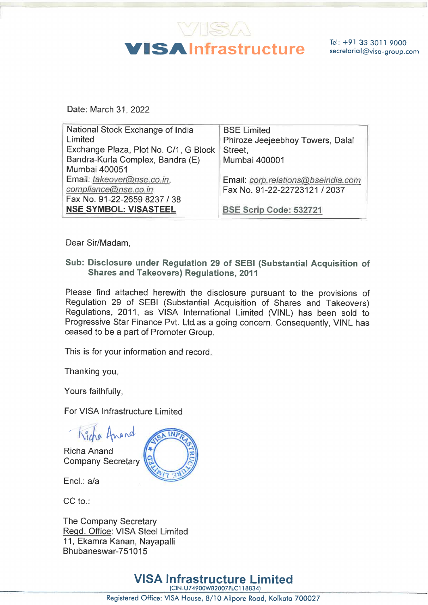

| Date: March 31, 2022                                         |                                                        |
|--------------------------------------------------------------|--------------------------------------------------------|
| National Stock Exchange of India<br>Limited                  | <b>BSE Limited</b><br>Phiroze Jeejeebhoy Towers, Dalal |
| Exchange Plaza, Plot No. C/1, G Block                        | Street,                                                |
| Bandra-Kurla Complex, Bandra (E)<br>Mumbai 400051            | <b>Mumbai 400001</b>                                   |
| Email: takeover@nse.co.in,                                   | Email: corp.relations@bseindia.com                     |
| compliance@nse.co.in                                         | Fax No. 91-22-22723121 / 2037                          |
| Fax No. 91-22-2659 8237 / 38<br><b>NSE SYMBOL: VISASTEEL</b> | BSE Scrip Code: 532721                                 |

Dear Sir/Madam,

Sub: Disclosure under Regulation 29 of SEBI (Substantial Acquisition of Shares and Takeovers) Regulations, 2011

Please find attached herewith the disclosure pursuant to the provisions of Regulation 29 of SEBI (Substantial Acquisition of Shares and Takeovers) Regulations, 2011, as VISA International Limited (VINL) has been sold to Progressive Star Finance Pvt. Ltd.as a going concern. Consequently, VINL has ceased to be a part of Promoter Group.

This is for your information and record.

Thanking you.

Yours faithfully,

For VISA Infrastructure Limited

- Kicho Amand

Richa Anand Company Secretary



Encl.: a/a

CC to.:

The Company Secretary Read. Office: VISA Steel Limited 11, Ekamra Kanan, Nayapalli Bhubaneswar-751015

5<br>**ISA I**<br>Office: VI VISA Infrastructure Limited (CIN:U74900WB2007PLC1 18834)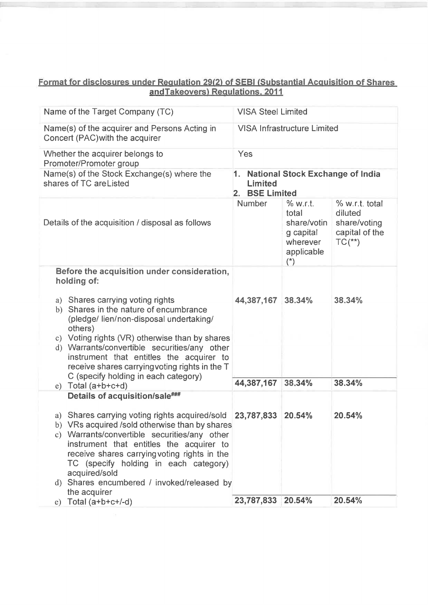## Format for disclosures under Requlation 29(2) of SEBI (Substantial Acquisition of Shares andTakeovers) Requlations, 2011

| Name of the Target Company (TC)                                                                                                                                                                                                                                                                                                                                                                                          | <b>VISA Steel Limited</b>                                                  |                                                                                        |                                                                         |  |
|--------------------------------------------------------------------------------------------------------------------------------------------------------------------------------------------------------------------------------------------------------------------------------------------------------------------------------------------------------------------------------------------------------------------------|----------------------------------------------------------------------------|----------------------------------------------------------------------------------------|-------------------------------------------------------------------------|--|
|                                                                                                                                                                                                                                                                                                                                                                                                                          |                                                                            |                                                                                        |                                                                         |  |
| Name(s) of the acquirer and Persons Acting in<br>Concert (PAC) with the acquirer                                                                                                                                                                                                                                                                                                                                         | <b>VISA Infrastructure Limited</b>                                         |                                                                                        |                                                                         |  |
| Whether the acquirer belongs to<br>Promoter/Promoter group                                                                                                                                                                                                                                                                                                                                                               | Yes                                                                        |                                                                                        |                                                                         |  |
| Name(s) of the Stock Exchange(s) where the<br>shares of TC areListed                                                                                                                                                                                                                                                                                                                                                     | <b>National Stock Exchange of India</b><br>1.<br>Limited<br>2. BSE Limited |                                                                                        |                                                                         |  |
| Details of the acquisition / disposal as follows                                                                                                                                                                                                                                                                                                                                                                         | <b>Number</b>                                                              | % w.r.t.<br>total<br>share/votin<br>g capital<br>wherever<br>applicable<br>$(\dot{z})$ | % w.r.t. total<br>diluted<br>share/voting<br>capital of the<br>$TC(**)$ |  |
| Before the acquisition under consideration,<br>holding of:                                                                                                                                                                                                                                                                                                                                                               |                                                                            |                                                                                        |                                                                         |  |
| a) Shares carrying voting rights<br>b) Shares in the nature of encumbrance<br>(pledge/lien/non-disposal undertaking/<br>others)<br>c) Voting rights (VR) otherwise than by shares<br>d) Warrants/convertible securities/any other<br>instrument that entitles the acquirer to<br>receive shares carrying voting rights in the T<br>C (specify holding in each category)                                                  | 44,387,167                                                                 | 38.34%                                                                                 | 38.34%                                                                  |  |
| $e)$ Total (a+b+c+d)                                                                                                                                                                                                                                                                                                                                                                                                     | 44,387,167                                                                 | 38.34%                                                                                 | 38.34%                                                                  |  |
| Details of acquisition/sale###<br>a) Shares carrying voting rights acquired/sold 23,787,833 20.54%<br>b) VRs acquired /sold otherwise than by shares<br>c) Warrants/convertible securities/any other<br>instrument that entitles the acquirer to<br>receive shares carrying voting rights in the<br>TC (specify holding in each category)<br>acquired/sold<br>d) Shares encumbered / invoked/released by<br>the acquirer |                                                                            |                                                                                        | 20.54%                                                                  |  |
| e) Total $(a+b+c+/-d)$                                                                                                                                                                                                                                                                                                                                                                                                   | 23,787,833                                                                 | 20.54%                                                                                 | 20.54%                                                                  |  |